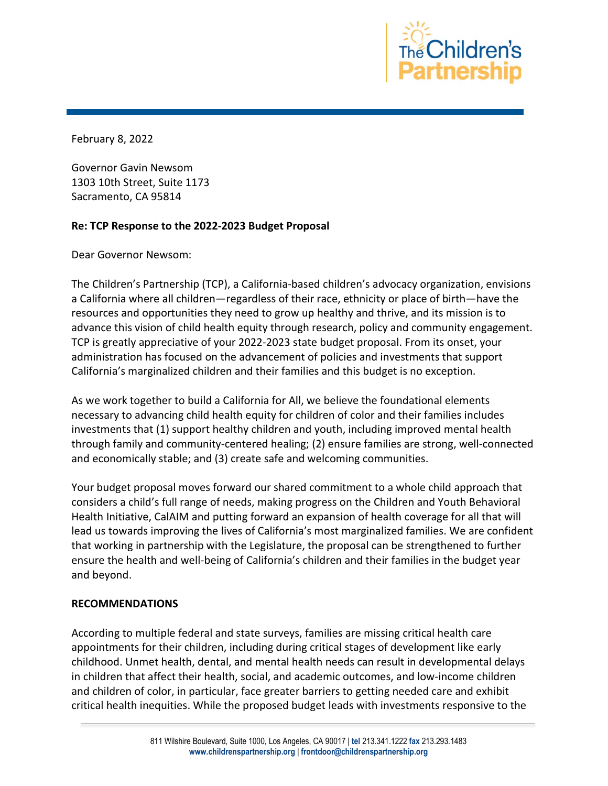

February 8, 2022

Governor Gavin Newsom 1303 10th Street, Suite 1173 Sacramento, CA 95814

## Re: TCP Response to the 2022-2023 Budget Proposal

Dear Governor Newsom:

The Children's Partnership (TCP), a California-based children's advocacy organization, envisions a California where all children—regardless of their race, ethnicity or place of birth—have the resources and opportunities they need to grow up healthy and thrive, and its mission is to advance this vision of child health equity through research, policy and community engagement. TCP is greatly appreciative of your 2022-2023 state budget proposal. From its onset, your administration has focused on the advancement of policies and investments that support California's marginalized children and their families and this budget is no exception.

As we work together to build a California for All, we believe the foundational elements necessary to advancing child health equity for children of color and their families includes investments that (1) support healthy children and youth, including improved mental health through family and community-centered healing; (2) ensure families are strong, well-connected and economically stable; and (3) create safe and welcoming communities.

Your budget proposal moves forward our shared commitment to a whole child approach that considers a child's full range of needs, making progress on the Children and Youth Behavioral Health Initiative, CalAIM and putting forward an expansion of health coverage for all that will lead us towards improving the lives of California's most marginalized families. We are confident that working in partnership with the Legislature, the proposal can be strengthened to further ensure the health and well-being of California's children and their families in the budget year and beyond.

## RECOMMENDATIONS

According to multiple federal and state surveys, families are missing critical health care appointments for their children, including during critical stages of development like early childhood. Unmet health, dental, and mental health needs can result in developmental delays in children that affect their health, social, and academic outcomes, and low-income children and children of color, in particular, face greater barriers to getting needed care and exhibit critical health inequities. While the proposed budget leads with investments responsive to the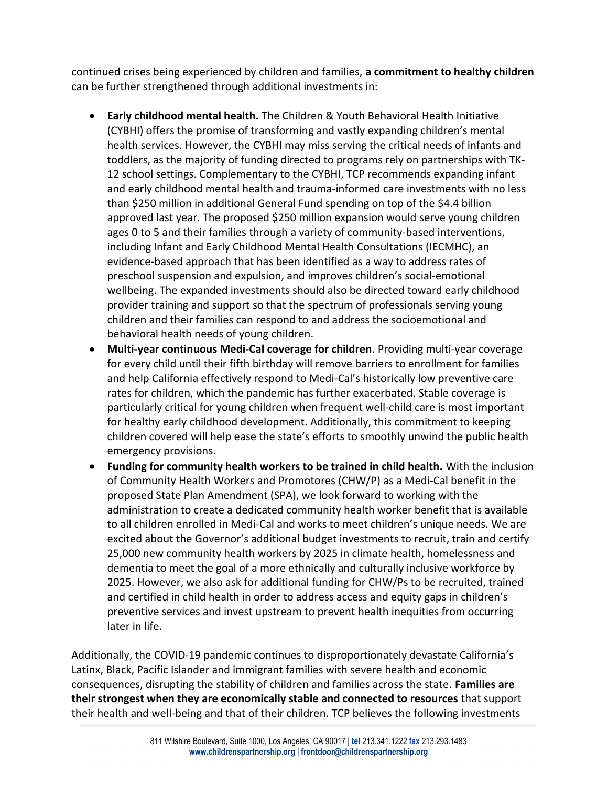continued crises being experienced by children and families, a commitment to healthy children can be further strengthened through additional investments in:

- Early childhood mental health. The Children & Youth Behavioral Health Initiative (CYBHI) offers the promise of transforming and vastly expanding children's mental health services. However, the CYBHI may miss serving the critical needs of infants and toddlers, as the majority of funding directed to programs rely on partnerships with TK-12 school settings. Complementary to the CYBHI, TCP recommends expanding infant and early childhood mental health and trauma-informed care investments with no less than \$250 million in additional General Fund spending on top of the \$4.4 billion approved last year. The proposed \$250 million expansion would serve young children ages 0 to 5 and their families through a variety of community-based interventions, including Infant and Early Childhood Mental Health Consultations (IECMHC), an evidence-based approach that has been identified as a way to address rates of preschool suspension and expulsion, and improves children's social-emotional wellbeing. The expanded investments should also be directed toward early childhood provider training and support so that the spectrum of professionals serving young children and their families can respond to and address the socioemotional and behavioral health needs of young children.
- Multi-year continuous Medi-Cal coverage for children. Providing multi-year coverage for every child until their fifth birthday will remove barriers to enrollment for families and help California effectively respond to Medi-Cal's historically low preventive care rates for children, which the pandemic has further exacerbated. Stable coverage is particularly critical for young children when frequent well-child care is most important for healthy early childhood development. Additionally, this commitment to keeping children covered will help ease the state's efforts to smoothly unwind the public health emergency provisions.
- Funding for community health workers to be trained in child health. With the inclusion of Community Health Workers and Promotores (CHW/P) as a Medi-Cal benefit in the proposed State Plan Amendment (SPA), we look forward to working with the administration to create a dedicated community health worker benefit that is available to all children enrolled in Medi-Cal and works to meet children's unique needs. We are excited about the Governor's additional budget investments to recruit, train and certify 25,000 new community health workers by 2025 in climate health, homelessness and dementia to meet the goal of a more ethnically and culturally inclusive workforce by 2025. However, we also ask for additional funding for CHW/Ps to be recruited, trained and certified in child health in order to address access and equity gaps in children's preventive services and invest upstream to prevent health inequities from occurring later in life.

Additionally, the COVID-19 pandemic continues to disproportionately devastate California's Latinx, Black, Pacific Islander and immigrant families with severe health and economic consequences, disrupting the stability of children and families across the state. Families are their strongest when they are economically stable and connected to resources that support their health and well-being and that of their children. TCP believes the following investments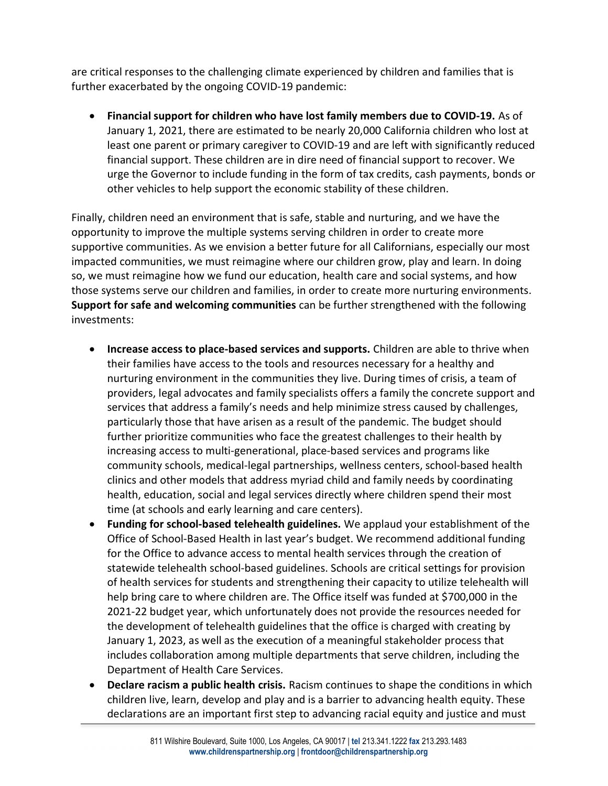are critical responses to the challenging climate experienced by children and families that is further exacerbated by the ongoing COVID-19 pandemic:

 Financial support for children who have lost family members due to COVID-19. As of January 1, 2021, there are estimated to be nearly 20,000 California children who lost at least one parent or primary caregiver to COVID-19 and are left with significantly reduced financial support. These children are in dire need of financial support to recover. We urge the Governor to include funding in the form of tax credits, cash payments, bonds or other vehicles to help support the economic stability of these children.

Finally, children need an environment that is safe, stable and nurturing, and we have the opportunity to improve the multiple systems serving children in order to create more supportive communities. As we envision a better future for all Californians, especially our most impacted communities, we must reimagine where our children grow, play and learn. In doing so, we must reimagine how we fund our education, health care and social systems, and how those systems serve our children and families, in order to create more nurturing environments. Support for safe and welcoming communities can be further strengthened with the following investments:

- Increase access to place-based services and supports. Children are able to thrive when their families have access to the tools and resources necessary for a healthy and nurturing environment in the communities they live. During times of crisis, a team of providers, legal advocates and family specialists offers a family the concrete support and services that address a family's needs and help minimize stress caused by challenges, particularly those that have arisen as a result of the pandemic. The budget should further prioritize communities who face the greatest challenges to their health by increasing access to multi-generational, place-based services and programs like community schools, medical-legal partnerships, wellness centers, school-based health clinics and other models that address myriad child and family needs by coordinating health, education, social and legal services directly where children spend their most time (at schools and early learning and care centers).
- Funding for school-based telehealth guidelines. We applaud your establishment of the Office of School-Based Health in last year's budget. We recommend additional funding for the Office to advance access to mental health services through the creation of statewide telehealth school-based guidelines. Schools are critical settings for provision of health services for students and strengthening their capacity to utilize telehealth will help bring care to where children are. The Office itself was funded at \$700,000 in the 2021-22 budget year, which unfortunately does not provide the resources needed for the development of telehealth guidelines that the office is charged with creating by January 1, 2023, as well as the execution of a meaningful stakeholder process that includes collaboration among multiple departments that serve children, including the Department of Health Care Services.
- Declare racism a public health crisis. Racism continues to shape the conditions in which children live, learn, develop and play and is a barrier to advancing health equity. These declarations are an important first step to advancing racial equity and justice and must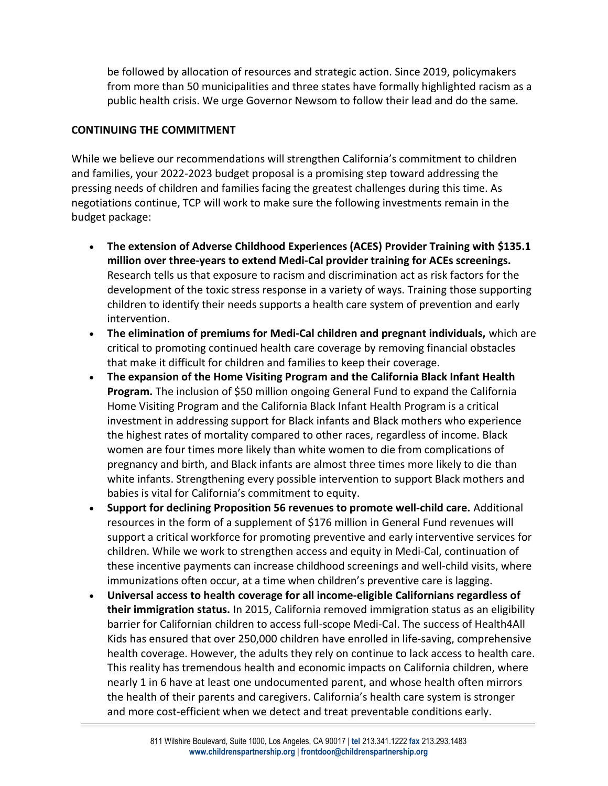be followed by allocation of resources and strategic action. Since 2019, policymakers from more than 50 municipalities and three states have formally highlighted racism as a public health crisis. We urge Governor Newsom to follow their lead and do the same.

## CONTINUING THE COMMITMENT

While we believe our recommendations will strengthen California's commitment to children and families, your 2022-2023 budget proposal is a promising step toward addressing the pressing needs of children and families facing the greatest challenges during this time. As negotiations continue, TCP will work to make sure the following investments remain in the budget package:

- The extension of Adverse Childhood Experiences (ACES) Provider Training with \$135.1 million over three-years to extend Medi-Cal provider training for ACEs screenings. Research tells us that exposure to racism and discrimination act as risk factors for the development of the toxic stress response in a variety of ways. Training those supporting children to identify their needs supports a health care system of prevention and early intervention.
- The elimination of premiums for Medi-Cal children and pregnant individuals, which are critical to promoting continued health care coverage by removing financial obstacles that make it difficult for children and families to keep their coverage.
- The expansion of the Home Visiting Program and the California Black Infant Health Program. The inclusion of \$50 million ongoing General Fund to expand the California Home Visiting Program and the California Black Infant Health Program is a critical investment in addressing support for Black infants and Black mothers who experience the highest rates of mortality compared to other races, regardless of income. Black women are four times more likely than white women to die from complications of pregnancy and birth, and Black infants are almost three times more likely to die than white infants. Strengthening every possible intervention to support Black mothers and babies is vital for California's commitment to equity.
- Support for declining Proposition 56 revenues to promote well-child care. Additional resources in the form of a supplement of \$176 million in General Fund revenues will support a critical workforce for promoting preventive and early interventive services for children. While we work to strengthen access and equity in Medi-Cal, continuation of these incentive payments can increase childhood screenings and well-child visits, where immunizations often occur, at a time when children's preventive care is lagging.
- Universal access to health coverage for all income-eligible Californians regardless of their immigration status. In 2015, California removed immigration status as an eligibility barrier for Californian children to access full-scope Medi-Cal. The success of Health4All Kids has ensured that over 250,000 children have enrolled in life-saving, comprehensive health coverage. However, the adults they rely on continue to lack access to health care. This reality has tremendous health and economic impacts on California children, where nearly 1 in 6 have at least one undocumented parent, and whose health often mirrors the health of their parents and caregivers. California's health care system is stronger and more cost-efficient when we detect and treat preventable conditions early.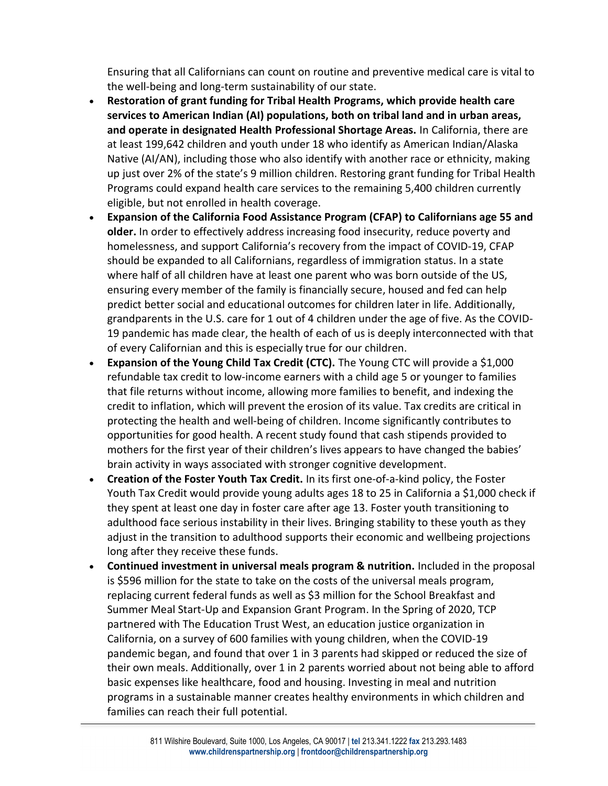Ensuring that all Californians can count on routine and preventive medical care is vital to the well-being and long-term sustainability of our state.

- Restoration of grant funding for Tribal Health Programs, which provide health care services to American Indian (AI) populations, both on tribal land and in urban areas, and operate in designated Health Professional Shortage Areas. In California, there are at least 199,642 children and youth under 18 who identify as American Indian/Alaska Native (AI/AN), including those who also identify with another race or ethnicity, making up just over 2% of the state's 9 million children. Restoring grant funding for Tribal Health Programs could expand health care services to the remaining 5,400 children currently eligible, but not enrolled in health coverage.
- Expansion of the California Food Assistance Program (CFAP) to Californians age 55 and older. In order to effectively address increasing food insecurity, reduce poverty and homelessness, and support California's recovery from the impact of COVID-19, CFAP should be expanded to all Californians, regardless of immigration status. In a state where half of all children have at least one parent who was born outside of the US, ensuring every member of the family is financially secure, housed and fed can help predict better social and educational outcomes for children later in life. Additionally, grandparents in the U.S. care for 1 out of 4 children under the age of five. As the COVID-19 pandemic has made clear, the health of each of us is deeply interconnected with that of every Californian and this is especially true for our children.
- Expansion of the Young Child Tax Credit (CTC). The Young CTC will provide a \$1,000 refundable tax credit to low-income earners with a child age 5 or younger to families that file returns without income, allowing more families to benefit, and indexing the credit to inflation, which will prevent the erosion of its value. Tax credits are critical in protecting the health and well-being of children. Income significantly contributes to opportunities for good health. A recent study found that cash stipends provided to mothers for the first year of their children's lives appears to have changed the babies' brain activity in ways associated with stronger cognitive development.
- Creation of the Foster Youth Tax Credit. In its first one-of-a-kind policy, the Foster Youth Tax Credit would provide young adults ages 18 to 25 in California a \$1,000 check if they spent at least one day in foster care after age 13. Foster youth transitioning to adulthood face serious instability in their lives. Bringing stability to these youth as they adjust in the transition to adulthood supports their economic and wellbeing projections long after they receive these funds.
- Continued investment in universal meals program & nutrition. Included in the proposal is \$596 million for the state to take on the costs of the universal meals program, replacing current federal funds as well as \$3 million for the School Breakfast and Summer Meal Start-Up and Expansion Grant Program. In the Spring of 2020, TCP partnered with The Education Trust West, an education justice organization in California, on a survey of 600 families with young children, when the COVID-19 pandemic began, and found that over 1 in 3 parents had skipped or reduced the size of their own meals. Additionally, over 1 in 2 parents worried about not being able to afford basic expenses like healthcare, food and housing. Investing in meal and nutrition programs in a sustainable manner creates healthy environments in which children and families can reach their full potential.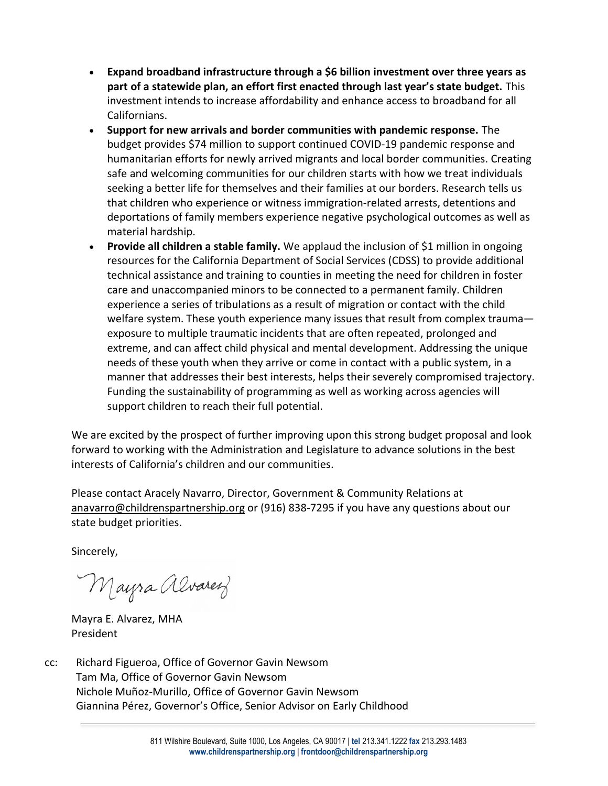- Expand broadband infrastructure through a \$6 billion investment over three years as part of a statewide plan, an effort first enacted through last year's state budget. This investment intends to increase affordability and enhance access to broadband for all Californians.
- Support for new arrivals and border communities with pandemic response. The budget provides \$74 million to support continued COVID-19 pandemic response and humanitarian efforts for newly arrived migrants and local border communities. Creating safe and welcoming communities for our children starts with how we treat individuals seeking a better life for themselves and their families at our borders. Research tells us that children who experience or witness immigration-related arrests, detentions and deportations of family members experience negative psychological outcomes as well as material hardship.
- Provide all children a stable family. We applaud the inclusion of \$1 million in ongoing resources for the California Department of Social Services (CDSS) to provide additional technical assistance and training to counties in meeting the need for children in foster care and unaccompanied minors to be connected to a permanent family. Children experience a series of tribulations as a result of migration or contact with the child welfare system. These youth experience many issues that result from complex trauma exposure to multiple traumatic incidents that are often repeated, prolonged and extreme, and can affect child physical and mental development. Addressing the unique needs of these youth when they arrive or come in contact with a public system, in a manner that addresses their best interests, helps their severely compromised trajectory. Funding the sustainability of programming as well as working across agencies will support children to reach their full potential.

We are excited by the prospect of further improving upon this strong budget proposal and look forward to working with the Administration and Legislature to advance solutions in the best interests of California's children and our communities.

Please contact Aracely Navarro, Director, Government & Community Relations at anavarro@childrenspartnership.org or (916) 838-7295 if you have any questions about our state budget priorities.

Sincerely,

Mayra alvarez

Mayra E. Alvarez, MHA President

cc: Richard Figueroa, Office of Governor Gavin Newsom Tam Ma, Office of Governor Gavin Newsom Nichole Muñoz-Murillo, Office of Governor Gavin Newsom Giannina Pérez, Governor's Office, Senior Advisor on Early Childhood